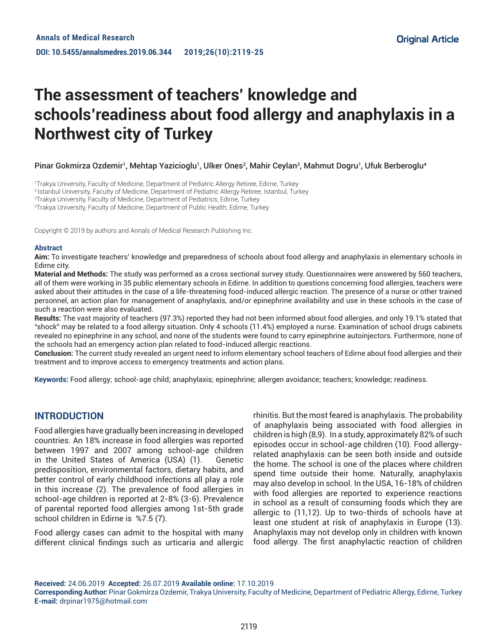# **The assessment of teachers' knowledge and schools'readiness about food allergy and anaphylaxis in a Northwest city of Turkey**

Pinar Gokmirza Ozdemir<sup>1</sup>, Mehtap Yazicioglu<sup>1</sup>, Ulker Ones<sup>2</sup>, Mahir Ceylan<sup>3</sup>, Mahmut Dogru<sup>1</sup>, Ufuk Berberoglu<sup>4</sup>

1 Trakya University, Faculty of Medicine, Department of Pediatric Allergy Retiree, Edirne, Turkey

2 Istanbul University, Faculty of Medicine, Department of Pediatric Allergy Retiree, Istanbul, Turkey

3 Trakya University, Faculty of Medicine, Department of Pediatrics, Edirne, Turkey

4 Trakya University, Faculty of Medicine, Department of Public Health, Edirne, Turkey

Copyright © 2019 by authors and Annals of Medical Research Publishing Inc.

#### **Abstract**

**Aim:** To investigate teachers' knowledge and preparedness of schools about food allergy and anaphylaxis in elementary schools in Edirne city.

**Material and Methods:** The study was performed as a cross sectional survey study. Questionnaires were answered by 560 teachers, all of them were working in 35 public elementary schools in Edirne. In addition to questions concerning food allergies, teachers were asked about their attitudes in the case of a life-threatening food-induced allergic reaction. The presence of a nurse or other trained personnel, an action plan for management of anaphylaxis, and/or epinephrine availability and use in these schools in the case of such a reaction were also evaluated.

**Results:** The vast majority of teachers (97.3%) reported they had not been informed about food allergies, and only 19.1% stated that "shock" may be related to a food allergy situation. Only 4 schools (11.4%) employed a nurse. Examination of school drugs cabinets revealed no epinephrine in any school, and none of the students were found to carry epinephrine autoinjectors. Furthermore, none of the schools had an emergency action plan related to food-induced allergic reactions.

**Conclusion:** The current study revealed an urgent need to inform elementary school teachers of Edirne about food allergies and their treatment and to improve access to emergency treatments and action plans.

**Keywords:** Food allergy; school-age child; anaphylaxis; epinephrine; allergen avoidance; teachers; knowledge; readiness.

## **INTRODUCTION**

Food allergies have gradually been increasing in developed countries. An 18% increase in food allergies was reported between 1997 and 2007 among school-age children in the United States of America (USA) (1). Genetic predisposition, environmental factors, dietary habits, and better control of early childhood infections all play a role in this increase (2). The prevalence of food allergies in school-age children is reported at 2-8% (3-6). Prevalence of parental reported food allergies among 1st-5th grade school children in Edirne is %7.5 (7).

Food allergy cases can admit to the hospital with many different clinical findings such as urticaria and allergic

rhinitis. But the most feared is anaphylaxis. The probability of anaphylaxis being associated with food allergies in children is high (8,9). In a study, approximately 82% of such episodes occur in school-age children (10). Food allergyrelated anaphylaxis can be seen both inside and outside the home. The school is one of the places where children spend time outside their home. Naturally, anaphylaxis may also develop in school. In the USA, 16-18% of children with food allergies are reported to experience reactions in school as a result of consuming foods which they are allergic to (11,12). Up to two-thirds of schools have at least one student at risk of anaphylaxis in Europe (13). Anaphylaxis may not develop only in children with known food allergy. The first anaphylactic reaction of children

**Received:** 24.06.2019 **Accepted:** 26.07.2019 **Available online:** 17.10.2019

**Corresponding Author:** Pinar Gokmirza Ozdemir, Trakya University, Faculty of Medicine, Department of Pediatric Allergy, Edirne, Turkey **E-mail:** drpinar1975@hotmail.com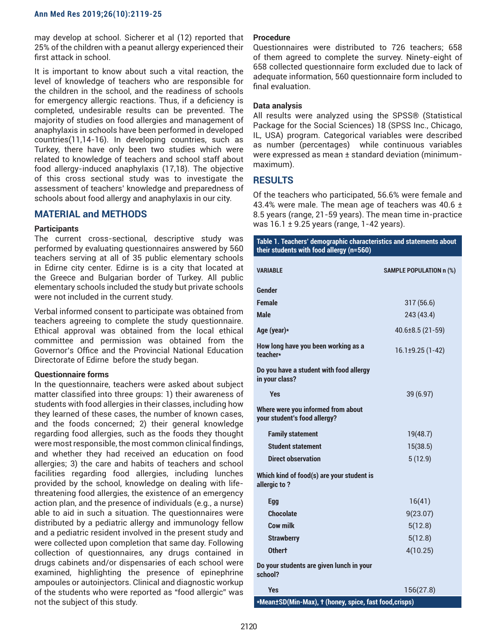may develop at school. Sicherer et al (12) reported that 25% of the children with a peanut allergy experienced their first attack in school.

It is important to know about such a vital reaction, the level of knowledge of teachers who are responsible for the children in the school, and the readiness of schools for emergency allergic reactions. Thus, if a deficiency is completed, undesirable results can be prevented. The majority of studies on food allergies and management of anaphylaxis in schools have been performed in developed countries(11,14-16). In developing countries, such as Turkey, there have only been two studies which were related to knowledge of teachers and school staff about food allergy-induced anaphylaxis (17,18). The objective of this cross sectional study was to investigate the assessment of teachers' knowledge and preparedness of schools about food allergy and anaphylaxis in our city.

# **MATERIAL and METHODS**

#### **Participants**

The current cross-sectional, descriptive study was performed by evaluating questionnaires answered by 560 teachers serving at all of 35 public elementary schools in Edirne city center. Edirne is is a city that located at the Greece and Bulgarian border of Turkey. All public elementary schools included the study but private schools were not included in the current study.

Verbal informed consent to participate was obtained from teachers agreeing to complete the study questionnaire. Ethical approval was obtained from the local ethical committee and permission was obtained from the Governor's Office and the Provincial National Education Directorate of Edirne before the study began.

### **Questionnaire forms**

In the questionnaire, teachers were asked about subject matter classified into three groups: 1) their awareness of students with food allergies in their classes, including how they learned of these cases, the number of known cases, and the foods concerned; 2) their general knowledge regarding food allergies, such as the foods they thought were most responsible, the most common clinical findings, and whether they had received an education on food allergies; 3) the care and habits of teachers and school facilities regarding food allergies, including lunches provided by the school, knowledge on dealing with lifethreatening food allergies, the existence of an emergency action plan, and the presence of individuals (e.g., a nurse) able to aid in such a situation. The questionnaires were distributed by a pediatric allergy and immunology fellow and a pediatric resident involved in the present study and were collected upon completion that same day. Following collection of questionnaires, any drugs contained in drugs cabinets and/or dispensaries of each school were examined, highlighting the presence of epinephrine ampoules or autoinjectors. Clinical and diagnostic workup of the students who were reported as "food allergic" was not the subject of this study.

#### **Procedure**

Questionnaires were distributed to 726 teachers; 658 of them agreed to complete the survey. Ninety-eight of 658 collected questionnaire form excluded due to lack of adequate information, 560 questionnaire form included to final evaluation.

## **Data analysis**

All results were analyzed using the SPSS® (Statistical Package for the Social Sciences) 18 (SPSS Inc., Chicago, IL, USA) program. Categorical variables were described as number (percentages) while continuous variables were expressed as mean ± standard deviation (minimummaximum).

## **RESULTS**

Of the teachers who participated, 56.6% were female and 43.4% were male. The mean age of teachers was 40.6  $\pm$ 8.5 years (range, 21-59 years). The mean time in-practice was  $16.1 \pm 9.25$  years (range, 1-42 years).

| Table 1. Teachers' demographic characteristics and statements about<br>their students with food allergy (n=560) |                                |  |
|-----------------------------------------------------------------------------------------------------------------|--------------------------------|--|
| <b><i>VARIABLE</i></b>                                                                                          | <b>SAMPLE POPULATION n (%)</b> |  |
| Gender                                                                                                          |                                |  |
| <b>Female</b>                                                                                                   | 317 (56.6)                     |  |
| <b>Male</b>                                                                                                     | 243 (43.4)                     |  |
| Age (year)*                                                                                                     | $40.6 \pm 8.5(21 - 59)$        |  |
| How long have you been working as a<br>teacher*                                                                 | $16.1\pm9.25(1-42)$            |  |
| Do you have a student with food allergy<br>in your class?                                                       |                                |  |
| <b>Yes</b>                                                                                                      | 39 (6.97)                      |  |
| Where were you informed from about<br>your student's food allergy?                                              |                                |  |
| <b>Family statement</b>                                                                                         | 19(48.7)                       |  |
| <b>Student statement</b>                                                                                        | 15(38.5)                       |  |
| <b>Direct observation</b>                                                                                       | 5(12.9)                        |  |
| Which kind of food(s) are your student is<br>allergic to?                                                       |                                |  |
| <b>Egg</b>                                                                                                      | 16(41)                         |  |
| <b>Chocolate</b>                                                                                                | 9(23.07)                       |  |
| Cow milk                                                                                                        | 5(12.8)                        |  |
| <b>Strawberry</b>                                                                                               | 5(12.8)                        |  |
| <b>Othert</b>                                                                                                   | 4(10.25)                       |  |
| Do your students are given lunch in your<br>school?                                                             |                                |  |
| Yes                                                                                                             | 156(27.8)                      |  |

**\*Mean±SD(Min-Max), † (honey, spice, fast food,crisps)**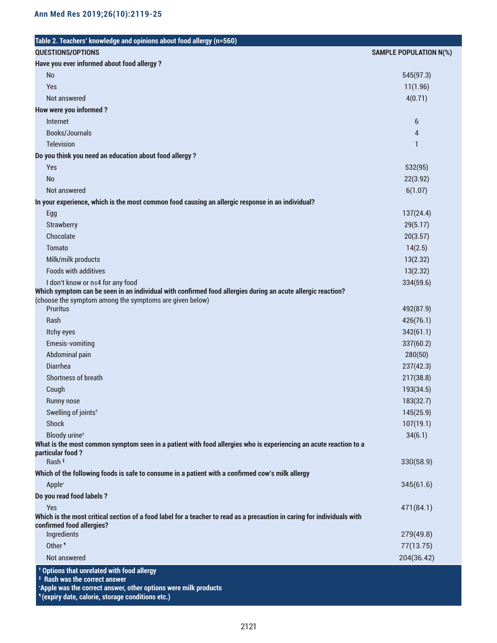| <b>QUESTIONS/OPTIONS</b>                                                                                                                      | <b>SAMPLE POPULATION N(%)</b> |
|-----------------------------------------------------------------------------------------------------------------------------------------------|-------------------------------|
| Have you ever informed about food allergy?                                                                                                    |                               |
| No                                                                                                                                            | 545(97.3)                     |
| Yes                                                                                                                                           | 11(1.96)                      |
| Not answered                                                                                                                                  | 4(0.71)                       |
| How were you informed?                                                                                                                        |                               |
| Internet                                                                                                                                      | $6\phantom{1}$                |
| <b>Books/Journals</b>                                                                                                                         | 4                             |
| <b>Television</b>                                                                                                                             | 1                             |
| Do you think you need an education about food allergy ?                                                                                       |                               |
| Yes                                                                                                                                           | 532(95)                       |
| <b>No</b>                                                                                                                                     | 22(3.92)                      |
| Not answered                                                                                                                                  | 6(1.07)                       |
| In your experience, which is the most common food causing an allergic response in an individual?                                              |                               |
| Egg                                                                                                                                           | 137(24.4)                     |
| Strawberry                                                                                                                                    | 29(5.17)                      |
| Chocolate                                                                                                                                     | 20(3.57)                      |
| <b>Tomato</b>                                                                                                                                 | 14(2.5)                       |
| Milk/milk products                                                                                                                            | 13(2.32)                      |
| <b>Foods with additives</b>                                                                                                                   | 13(2.32)                      |
| I don't know or n≤4 for any food                                                                                                              | 334(59.6)                     |
| Which symptom can be seen in an individual with confirmed food allergies during an acute allergic reaction?                                   |                               |
| (choose the symptom among the symptoms are given below)<br><b>Pruritus</b>                                                                    | 492(87.9)                     |
| Rash                                                                                                                                          | 426(76.1)                     |
|                                                                                                                                               | 342(61.1)                     |
| Itchy eyes<br><b>Emesis-vomiting</b>                                                                                                          | 337(60.2)                     |
|                                                                                                                                               |                               |
| Abdominal pain                                                                                                                                | 280(50)                       |
| <b>Diarrhea</b>                                                                                                                               | 237(42.3)                     |
| Shortness of breath                                                                                                                           | 217(38.8)                     |
| Cough                                                                                                                                         | 193(34.5)                     |
| <b>Runny nose</b>                                                                                                                             | 183(32.7)                     |
| Swelling of joints <sup>+</sup>                                                                                                               | 145(25.9)                     |
| Shock                                                                                                                                         | 107(19.1)                     |
| Bloody urine <sup>+</sup><br>What is the most common symptom seen in a patient with food allergies who is experiencing an acute reaction to a | 34(6.1)                       |
| particular food?                                                                                                                              |                               |
| Rash <sup>#</sup>                                                                                                                             | 330(58.9)                     |
| Which of the following foods is safe to consume in a patient with a confirmed cow's milk allergy                                              |                               |
| Apple*                                                                                                                                        | 345(61.6)                     |
| Do you read food labels ?                                                                                                                     |                               |
| Yes                                                                                                                                           | 471(84.1)                     |
| Which is the most critical section of a food label for a teacher to read as a precaution in caring for individuals with                       |                               |
| confirmed food allergies?<br>Ingredients                                                                                                      |                               |
|                                                                                                                                               | 279(49.8)                     |
| Other <sup>9</sup>                                                                                                                            | 77(13.75)                     |
| Not answered                                                                                                                                  | 204(36.42)                    |

**¶ (expiry date, calorie, storage conditions etc.)**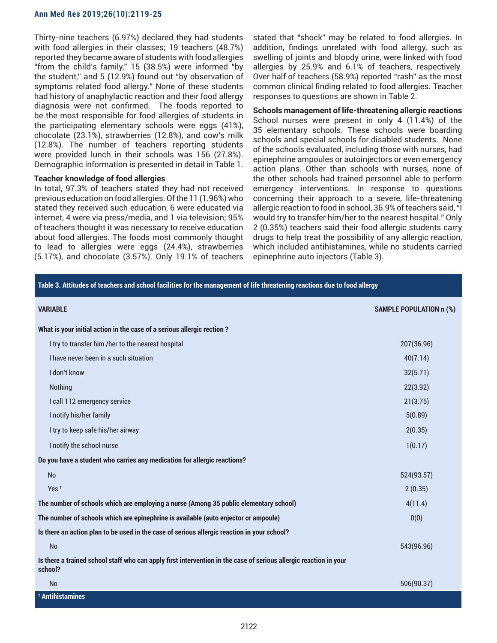#### **Ann Med Res 2019;26(10):2119-25**

Thirty-nine teachers (6.97%) declared they had students with food allergies in their classes; 19 teachers (48.7%) reported they became aware of students with food allergies "from the child's family," 15 (38.5%) were informed "by the student," and 5 (12.9%) found out "by observation of symptoms related food allergy." None of these students had history of anaphylactic reaction and their food allergy diagnosis were not confirmed. The foods reported to be the most responsible for food allergies of students in the participating elementary schools were eggs (41%), chocolate (23.1%), strawberries (12.8%), and cow's milk (12.8%). The number of teachers reporting students were provided lunch in their schools was 156 (27.8%). Demographic information is presented in detail in Table 1.

## **Teacher knowledge of food allergies**

In total, 97.3% of teachers stated they had not received previous education on food allergies. Of the 11 (1.96%) who stated they received such education, 6 were educated via internet, 4 were via press/media, and 1 via television; 95% of teachers thought it was necessary to receive education about food allergies. The foods most commonly thought to lead to allergies were eggs (24.4%), strawberries (5.17%), and chocolate (3.57%). Only 19.1% of teachers

stated that "shock" may be related to food allergies. In addition, findings unrelated with food allergy, such as swelling of joints and bloody urine, were linked with food allergies by 25.9% and 6.1% of teachers, respectively. Over half of teachers (58.9%) reported "rash" as the most common clinical finding related to food allergies. Teacher responses to questions are shown in Table 2.

**Schools management of life-threatening allergic reactions** School nurses were present in only 4 (11.4%) of the 35 elementary schools. These schools were boarding schools and special schools for disabled students. None of the schools evaluated, including those with nurses, had epinephrine ampoules or autoinjectors or even emergency action plans. Other than schools with nurses, none of the other schools had trained personnel able to perform emergency interventions. In response to questions concerning their approach to a severe, life-threatening allergic reaction to food in school, 36.9% of teachers said, "I would try to transfer him/her to the nearest hospital." Only 2 (0.35%) teachers said their food allergic students carry drugs to help treat the possibility of any allergic reaction, which included antihistamines, while no students carried epinephrine auto injectors (Table 3).

**Table 3. Attitudes of teachers and school facilities for the management of life threatening reactions due to food allergy**

| <b>VARIABLE</b>                                                                                                              | <b>SAMPLE POPULATION n (%)</b> |
|------------------------------------------------------------------------------------------------------------------------------|--------------------------------|
| What is your initial action in the case of a serious allergic rection?                                                       |                                |
| I try to transfer him /her to the nearest hospital                                                                           | 207(36.96)                     |
| I have never been in a such situation                                                                                        | 40(7.14)                       |
| I don't know                                                                                                                 | 32(5.71)                       |
| <b>Nothing</b>                                                                                                               | 22(3.92)                       |
| I call 112 emergency service                                                                                                 | 21(3.75)                       |
| I notify his/her family                                                                                                      | 5(0.89)                        |
| I try to keep safe his/her airway                                                                                            | 2(0.35)                        |
| I notify the school nurse                                                                                                    | 1(0.17)                        |
| Do you have a student who carries any medication for allergic reactions?                                                     |                                |
| <b>No</b>                                                                                                                    | 524(93.57)                     |
| Yes <sup>+</sup>                                                                                                             | 2(0.35)                        |
| The number of schools which are employing a nurse (Among 35 public elementary school)                                        | 4(11.4)                        |
| The number of schools which are epinephrine is available (auto enjector or ampoule)                                          | 0(0)                           |
| Is there an action plan to be used in the case of serious allergic reaction in your school?                                  |                                |
| <b>No</b>                                                                                                                    | 543(96.96)                     |
| Is there a trained school staff who can apply first intervention in the case of serious allergic reaction in your<br>school? |                                |
| <b>No</b>                                                                                                                    | 506(90.37)                     |
| <sup>†</sup> Antihistamines                                                                                                  |                                |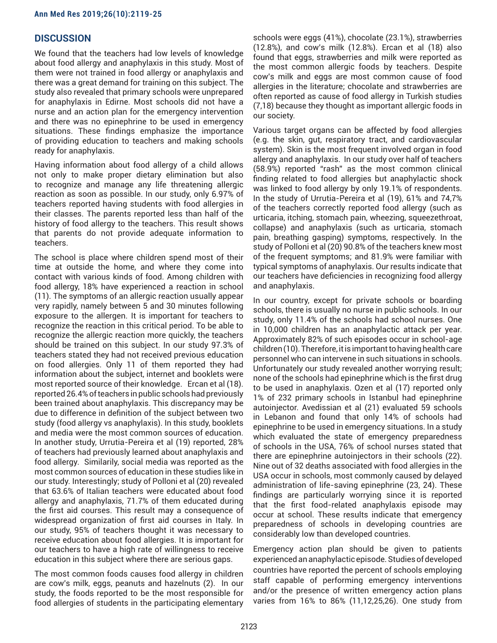# **DISCUSSION**

We found that the teachers had low levels of knowledge about food allergy and anaphylaxis in this study. Most of them were not trained in food allergy or anaphylaxis and there was a great demand for training on this subject. The study also revealed that primary schools were unprepared for anaphylaxis in Edirne. Most schools did not have a nurse and an action plan for the emergency intervention and there was no epinephrine to be used in emergency situations. These findings emphasize the importance of providing education to teachers and making schools ready for anaphylaxis.

Having information about food allergy of a child allows not only to make proper dietary elimination but also to recognize and manage any life threatening allergic reaction as soon as possible. In our study, only 6.97% of teachers reported having students with food allergies in their classes. The parents reported less than half of the history of food allergy to the teachers. This result shows that parents do not provide adequate information to teachers.

The school is place where children spend most of their time at outside the home, and where they come into contact with various kinds of food. Among children with food allergy, 18% have experienced a reaction in school (11). The symptoms of an allergic reaction usually appear very rapidly, namely between 5 and 30 minutes following exposure to the allergen. It is important for teachers to recognize the reaction in this critical period. To be able to recognize the allergic reaction more quickly, the teachers should be trained on this subject. In our study 97.3% of teachers stated they had not received previous education on food allergies. Only 11 of them reported they had information about the subject, internet and booklets were most reported source of their knowledge. Ercan et al (18). reported 26.4% of teachers in public schools had previously been trained about anaphylaxis. This discrepancy may be due to difference in definition of the subject between two study (food allergy vs anaphylaxis). In this study, booklets and media were the most common sources of education. In another study, Urrutia-Pereira et al (19) reported, 28% of teachers had previously learned about anaphylaxis and food allergy. Similarily, social media was reported as the most common sources of education in these studies like in our study. Interestingly; study of Polloni et al (20) revealed that 63.6% of Italian teachers were educated about food allergy and anaphylaxis, 71.7% of them educated during the first aid courses. This result may a consequence of widespread organization of first aid courses in Italy. In our study, 95% of teachers thought it was necessary to receive education about food allergies. It is important for our teachers to have a high rate of willingness to receive education in this subject where there are serious gaps.

The most common foods causes food allergy in children are cow's milk, eggs, peanuts and hazelnuts (2). In our study, the foods reported to be the most responsible for food allergies of students in the participating elementary

schools were eggs (41%), chocolate (23.1%), strawberries (12.8%), and cow's milk (12.8%). Ercan et al (18) also found that eggs, strawberries and milk were reported as the most common allergic foods by teachers. Despite cow's milk and eggs are most common cause of food allergies in the literature; chocolate and strawberries are often reported as cause of food allergy in Turkish studies (7,18) because they thought as important allergic foods in our society.

Various target organs can be affected by food allergies (e.g. the skin, gut, respiratory tract, and cardiovascular system). Skin is the most frequent involved organ in food allergy and anaphylaxis. In our study over half of teachers (58.9%) reported "rash" as the most common clinical finding related to food allergies but anaphylactic shock was linked to food allergy by only 19.1% of respondents. In the study of Urrutia-Pereira et al (19), 61% and 74,7% of the teachers correctly reported food allergy (such as urticaria, itching, stomach pain, wheezing, squeezethroat, collapse) and anaphylaxis (such as urticaria, stomach pain, breathing gasping) symptoms, respectively. In the study of Polloni et al (20) 90.8% of the teachers knew most of the frequent symptoms; and 81.9% were familiar with typical symptoms of anaphylaxis. Our results indicate that our teachers have deficiencies in recognizing food allergy and anaphylaxis.

In our country, except for private schools or boarding schools, there is usually no nurse in public schools. In our study, only 11.4% of the schools had school nurses. One in 10,000 children has an anaphylactic attack per year. Approximately 82% of such episodes occur in school-age children (10). Therefore, it is important to having health care personnel who can intervene in such situations in schools. Unfortunately our study revealed another worrying result; none of the schools had epinephrine which is the first drug to be used in anaphylaxis. Ozen et al (17) reported only 1% of 232 primary schools in Istanbul had epinephrine autoinjector. Avedissian et al (21) evaluated 59 schools in Lebanon and found that only 14% of schools had epinephrine to be used in emergency situations. In a study which evaluated the state of emergency preparedness of schools in the USA, 76% of school nurses stated that there are epinephrine autoinjectors in their schools (22). Nine out of 32 deaths associated with food allergies in the USA occur in schools, most commonly caused by delayed administration of life-saving epinephrine (23, 24). These findings are particularly worrying since it is reported that the first food-related anaphylaxis episode may occur at school. These results indicate that emergency preparedness of schools in developing countries are considerably low than developed countries.

Emergency action plan should be given to patients experienced an anaphylactic episode. Studies of developed countries have reported the percent of schools employing staff capable of performing emergency interventions and/or the presence of written emergency action plans varies from 16% to 86% (11,12,25,26). One study from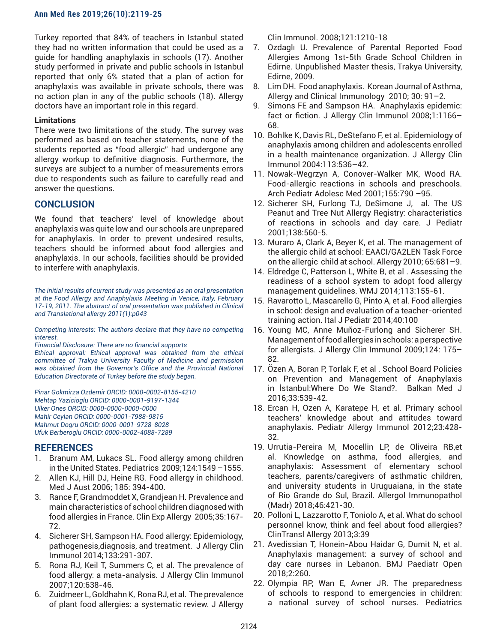### **Ann Med Res 2019;26(10):2119-25**

Turkey reported that 84% of teachers in Istanbul stated they had no written information that could be used as a guide for handling anaphylaxis in schools (17). Another study performed in private and public schools in Istanbul reported that only 6% stated that a plan of action for anaphylaxis was available in private schools, there was no action plan in any of the public schools (18). Allergy doctors have an important role in this regard.

## **Limitations**

There were two limitations of the study. The survey was performed as based on teacher statements, none of the students reported as "food allergic" had undergone any allergy workup to definitive diagnosis. Furthermore, the surveys are subject to a number of measurements errors due to respondents such as failure to carefully read and answer the questions.

# **CONCLUSION**

We found that teachers' level of knowledge about anaphylaxis was quite low and our schools are unprepared for anaphylaxis. In order to prevent undesired results, teachers should be informed about food allergies and anaphylaxis. In our schools, facilities should be provided to interfere with anaphylaxis.

*The initial results of current study was presented as an oral presentation at the Food Allergy and Anaphylaxis Meeting in Venice, Italy, February 17-19, 2011. The abstract of oral presentation was published in Clinical and Translational allergy 2011(1):p043*

*Competing interests: The authors declare that they have no competing interest.* 

*Financial Disclosure: There are no financial supports*

*Ethical approval: Ethical approval was obtained from the ethical committee of Trakya University Faculty of Medicine and permission was obtained from the Governor's Office and the Provincial National Education Directorate of Turkey before the study began.*

*Pinar Gokmirza Ozdemir ORCID: 0000-0002-8155-4210 Mehtap Yazicioglu ORCID: 0000-0001-9197-1344 Ulker Ones ORCID: 0000-0000-0000-0000 Mahir Ceylan ORCID: 0000-0001-7988-9815 Mahmut Dogru ORCID: 0000-0001-9728-8028 Ufuk Berberoglu ORCID: 0000-0002-4088-7289*

# **REFERENCES**

- 1. Branum AM, Lukacs SL. Food allergy among children in the United States. Pediatrics 2009;124:1549 –1555.
- 2. Allen KJ, Hill DJ, Heine RG. Food allergy in childhood. Med J Aust 2006; 185: 394-400.
- 3. Rance F, Grandmoddet X, Grandjean H. Prevalence and main characteristics of school children diagnosed with food allergies in France. Clin Exp Allergy 2005;35:167- 72.
- 4. Sicherer SH, Sampson HA. Food allergy: Epidemiology, pathogenesis,diagnosis, and treatment. J Allergy Clin Immunol 2014;133:291-307.
- 5. Rona RJ, Keil T, Summers C, et al. The prevalence of food allergy: a meta-analysis. J Allergy Clin Immunol 2007;120:638-46.
- 6. Zuidmeer L, Goldhahn K, Rona RJ, et al. The prevalence of plant food allergies: a systematic review. J Allergy

Clin Immunol. 2008;121:1210-18

- 7. Ozdaglı U. Prevalence of Parental Reported Food Allergies Among 1st-5th Grade School Children in Edirne. Unpublished Master thesis, Trakya University, Edirne, 2009.
- 8. Lim DH. Food anaphylaxis. Korean Journal of Asthma, Allergy and Clinical Immunology 2010; 30: 91–2.
- 9. Simons FE and Sampson HA. Anaphylaxis epidemic: fact or fiction. J Allergy Clin Immunol 2008;1:1166– 68.
- 10. Bohlke K, Davis RL, DeStefano F, et al. Epidemiology of anaphylaxis among children and adolescents enrolled in a health maintenance organization. J Allergy Clin Immunol 2004:113:536–42.
- 11. Nowak-Wegrzyn A, Conover-Walker MK, Wood RA. Food-allergic reactions in schools and preschools. Arch Pediatr Adolesc Med 2001;155:790 –95.
- 12. Sicherer SH, Furlong TJ, DeSimone J, al. The US Peanut and Tree Nut Allergy Registry: characteristics of reactions in schools and day care. J Pediatr 2001;138:560-5.
- 13. Muraro A, Clark A, Beyer K, et al. The management of the allergic child at school: EAACI/GA2LEN Task Force on the allergic child at school. Allergy 2010; 65:681–9.
- 14. Eldredge C, Patterson L, White B, et al . Assessing the readiness of a school system to adopt food allergy management guidelines. WMJ 2014;113:155-61.
- 15. Ravarotto L, Mascarello G, Pinto A, et al. Food allergies in school: design and evaluation of a teacher-oriented training action. Ital J Pediatr 2014;40:100
- 16. Young MC, Anne Muñoz-Furlong and Sicherer SH. Management of food allergies in schools: a perspective for allergists. J Allergy Clin Immunol 2009;124: 175– 82.
- 17. Ozen A, Boran P, Torlak F, et al . School Board Policies on Prevention and Management of Anaphylaxis in İstanbul:Where Do We Stand?. Balkan Med J 2016;33:539-42.
- 18. Ercan H, Ozen A, Karatepe H, et al. Primary school teachers' knowledge about and attitudes toward anaphylaxis. Pediatr Allergy Immunol 2012;23:428- 32.
- 19. Urrutia-Pereira M, Mocellin LP, de Oliveira RB,et al. Knowledge on asthma, food allergies, and anaphylaxis: Assessment of elementary school teachers, parents/caregivers of asthmatic children, and university students in Uruguaiana, in the state of Rio Grande do Sul, Brazil. Allergol Immunopathol (Madr) 2018;46:421-30.
- 20. Polloni L, Lazzarotto F, Toniolo A, et al. What do school personnel know, think and feel about food allergies? ClinTransl Allergy 2013;3:39
- 21. Avedissian T, Honein-Abou Haidar G, Dumit N, et al. Anaphylaxis management: a survey of school and day care nurses in Lebanon. BMJ Paediatr Open 2018;2:260.
- 22. Olympia RP, Wan E, Avner JR. The preparedness of schools to respond to emergencies in children: a national survey of school nurses. Pediatrics